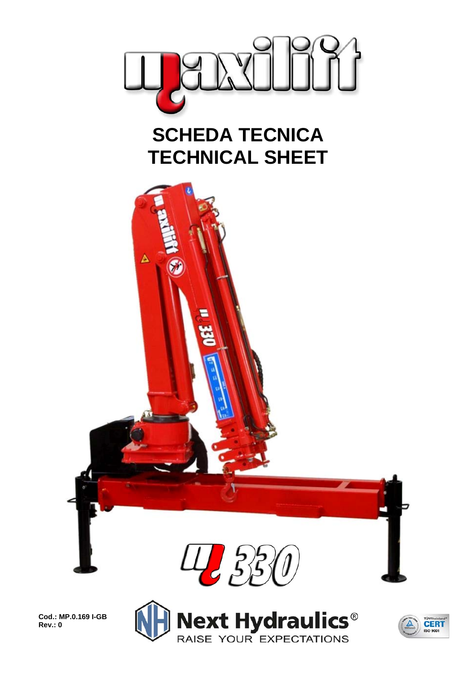

## **SCHEDA TECNICA TECHNICAL SHEET**



**Cod.: MP.0.169 I-GB Rev.: 0** 



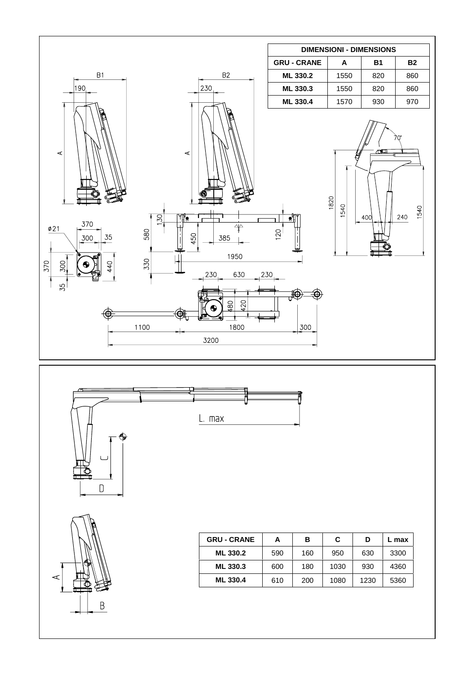





 $\mathsf D$ 

| <b>GRU - CRANE</b> | А   | в   | C    | D    | . max |  |
|--------------------|-----|-----|------|------|-------|--|
| ML 330.2           | 590 | 160 | 950  | 630  | 3300  |  |
| ML 330.3           | 600 | 180 | 1030 | 930  | 4360  |  |
| <b>ML 330.4</b>    | 610 | 200 | 1080 | 1230 | 5360  |  |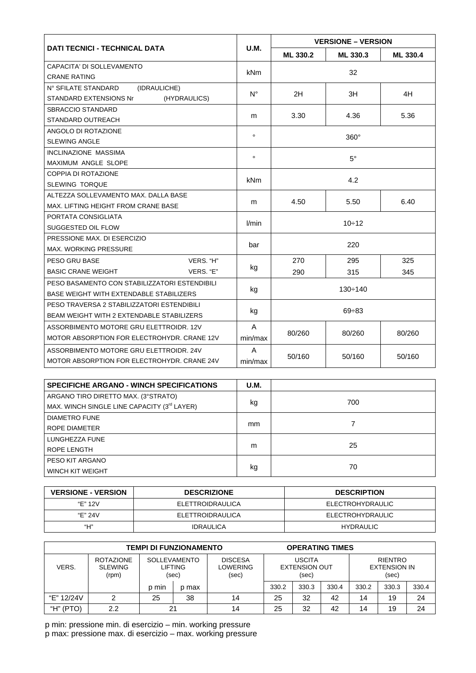| <b>DATI TECNICI - TECHNICAL DATA</b>             |             | <b>VERSIONE - VERSION</b> |        |          |  |  |
|--------------------------------------------------|-------------|---------------------------|--------|----------|--|--|
|                                                  | <b>U.M.</b> | ML 330.2<br>ML 330.3      |        | ML 330.4 |  |  |
| CAPACITA' DI SOLLEVAMENTO                        |             | 32                        |        |          |  |  |
| <b>CRANE RATING</b>                              | kNm         |                           |        |          |  |  |
| N° SFILATE STANDARD<br>(IDRAULICHE)              |             |                           |        |          |  |  |
| <b>STANDARD EXTENSIONS Nr</b><br>(HYDRAULICS)    | $N^{\circ}$ | 2H                        | ЗH     | 4H       |  |  |
| SBRACCIO STANDARD                                |             |                           |        |          |  |  |
| STANDARD OUTREACH                                | m           | 3.30                      | 4.36   | 5.36     |  |  |
| ANGOLO DI ROTAZIONE                              | $\circ$     | $360^\circ$               |        |          |  |  |
| <b>SLEWING ANGLE</b>                             |             |                           |        |          |  |  |
| <b>INCLINAZIONE MASSIMA</b>                      | $\circ$     | $5^{\circ}$               |        |          |  |  |
| MAXIMUM ANGLE SLOPE                              |             |                           |        |          |  |  |
| COPPIA DI ROTAZIONE                              | <b>kNm</b>  | 4.2                       |        |          |  |  |
| <b>SLEWING TORQUE</b>                            |             |                           |        |          |  |  |
| ALTEZZA SOLLEVAMENTO MAX. DALLA BASE             |             | 4.50                      | 5.50   | 6.40     |  |  |
| MAX. LIFTING HEIGHT FROM CRANE BASE              | m           |                           |        |          |  |  |
| PORTATA CONSIGLIATA                              | l/min       | $10 - 12$                 |        |          |  |  |
| SUGGESTED OIL FLOW                               |             |                           |        |          |  |  |
| PRESSIONE MAX. DI ESERCIZIO                      | bar         | 220                       |        |          |  |  |
| <b>MAX. WORKING PRESSURE</b>                     |             |                           |        |          |  |  |
| PESO GRU BASE<br>VERS. "H"                       |             | 270                       | 295    | 325      |  |  |
| <b>BASIC CRANE WEIGHT</b><br>VERS. "E"           | kg          | 290                       | 315    | 345      |  |  |
| PESO BASAMENTO CON STABILIZZATORI ESTENDIBILI    |             | $130 \div 140$            |        |          |  |  |
| BASE WEIGHT WITH EXTENDABLE STABILIZERS          | kg          |                           |        |          |  |  |
| PESO TRAVERSA 2 STABILIZZATORI ESTENDIBILI       |             | $69 \div 83$              |        |          |  |  |
| <b>BEAM WEIGHT WITH 2 EXTENDABLE STABILIZERS</b> | kg          |                           |        |          |  |  |
| ASSORBIMENTO MOTORE GRU ELETTROIDR. 12V          | A           |                           |        |          |  |  |
| MOTOR ABSORPTION FOR ELECTROHYDR. CRANE 12V      | min/max     | 80/260                    | 80/260 | 80/260   |  |  |
| ASSORBIMENTO MOTORE GRU ELETTROIDR. 24V          | A           |                           | 50/160 |          |  |  |
| MOTOR ABSORPTION FOR ELECTROHYDR. CRANE 24V      | min/max     | 50/160                    | 50/160 |          |  |  |

| <b>SPECIFICHE ARGANO - WINCH SPECIFICATIONS</b>         | <b>U.M.</b>   |     |
|---------------------------------------------------------|---------------|-----|
| ARGANO TIRO DIRETTO MAX. (3°STRATO)                     |               |     |
| MAX. WINCH SINGLE LINE CAPACITY (3 <sup>rd</sup> LAYER) | kg            | 700 |
| <b>DIAMETRO FUNE</b>                                    |               |     |
| ROPE DIAMETER                                           | <sub>mm</sub> |     |
| LUNGHEZZA FUNE                                          |               |     |
| ROPE LENGTH                                             | m             | 25  |
| PESO KIT ARGANO                                         |               |     |
| WINCH KIT WEIGHT                                        | kg            | 70  |

| <b>VERSIONE - VERSION</b> | <b>DESCRIZIONE</b> | <b>DESCRIPTION</b> |
|---------------------------|--------------------|--------------------|
| "F" 12V                   | ELETTROIDRAULICA   | ELECTROHYDRAULIC   |
| "F" 24V                   | ELETTROIDRAULICA   | ELECTROHYDRAULIC   |
| "Н"                       | <b>IDRAULICA</b>   | <b>HYDRAULIC</b>   |

| <b>TEMPI DI FUNZIONAMENTO</b> |                                             |                                         |       | <b>OPERATING TIMES</b>                     |                                                |       |       |                                                |       |       |
|-------------------------------|---------------------------------------------|-----------------------------------------|-------|--------------------------------------------|------------------------------------------------|-------|-------|------------------------------------------------|-------|-------|
| VERS.                         | <b>ROTAZIONE</b><br><b>SLEWING</b><br>(rpm) | <b>SOLLEVAMENTO</b><br>LIFTING<br>(sec) |       | <b>DISCESA</b><br><b>LOWERING</b><br>(sec) | <b>USCITA</b><br><b>EXTENSION OUT</b><br>(sec) |       |       | <b>RIENTRO</b><br><b>EXTENSION IN</b><br>(sec) |       |       |
|                               |                                             | p min                                   | p max |                                            | 330.2                                          | 330.3 | 330.4 | 330.2                                          | 330.3 | 330.4 |
| "E" 12/24V                    |                                             | 25                                      | 38    | 14                                         | 25                                             | 32    | 42    | 14                                             | 19    | 24    |
| "H" (PTO)                     | 2.2                                         | 21                                      |       | 14                                         | 25                                             | 32    | 42    | 14                                             | 19    | 24    |

p min: pressione min. di esercizio – min. working pressure p max: pressione max. di esercizio – max. working pressure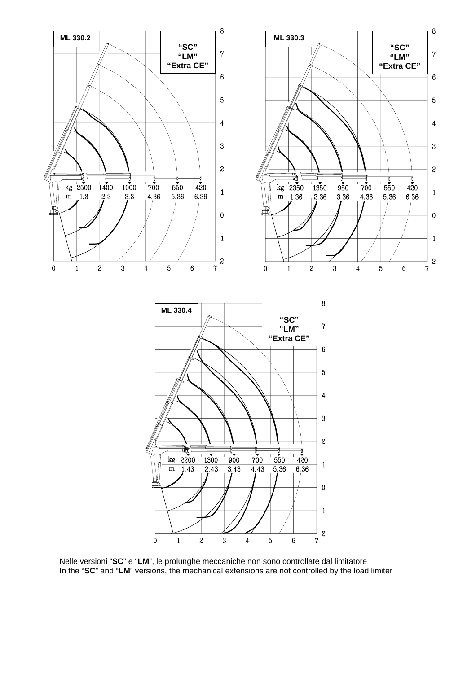

Nelle versioni "**SC**" e "**LM**", le prolunghe meccaniche non sono controllate dal limitatore In the "**SC**" and "**LM**" versions, the mechanical extensions are not controlled by the load limiter